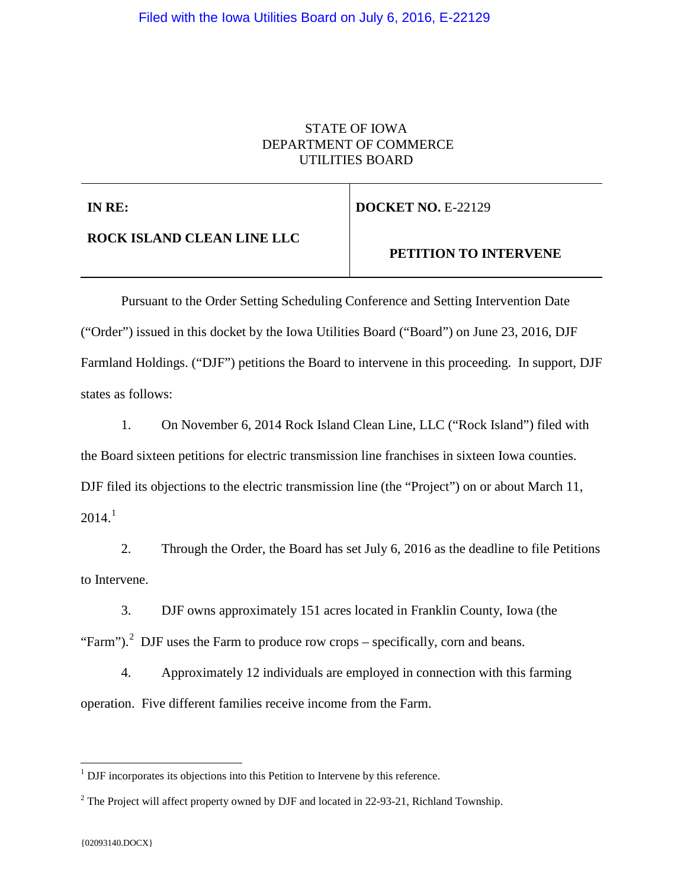## STATE OF IOWA DEPARTMENT OF COMMERCE UTILITIES BOARD

**IN RE:**

**DOCKET NO. E-22129** 

**ROCK ISLAND CLEAN LINE LLC**

 **PETITION TO INTERVENE**

Pursuant to the Order Setting Scheduling Conference and Setting Intervention Date ("Order") issued in this docket by the Iowa Utilities Board ("Board") on June 23, 2016, DJF Farmland Holdings. ("DJF") petitions the Board to intervene in this proceeding. In support, DJF states as follows:

1. On November 6, 2014 Rock Island Clean Line, LLC ("Rock Island") filed with the Board sixteen petitions for electric transmission line franchises in sixteen Iowa counties. DJF filed its objections to the electric transmission line (the "Project") on or about March 11,  $2014.<sup>1</sup>$  $2014.<sup>1</sup>$  $2014.<sup>1</sup>$ 

2. Through the Order, the Board has set July 6, 2016 as the deadline to file Petitions to Intervene.

3. DJF owns approximately 151 acres located in Franklin County, Iowa (the "Farm").<sup>[2](#page-0-1)</sup> DJF uses the Farm to produce row crops – specifically, corn and beans.

4. Approximately 12 individuals are employed in connection with this farming operation. Five different families receive income from the Farm.

<span id="page-0-0"></span><sup>&</sup>lt;sup>1</sup> DJF incorporates its objections into this Petition to Intervene by this reference.

<span id="page-0-1"></span><sup>&</sup>lt;sup>2</sup> The Project will affect property owned by DJF and located in 22-93-21, Richland Township.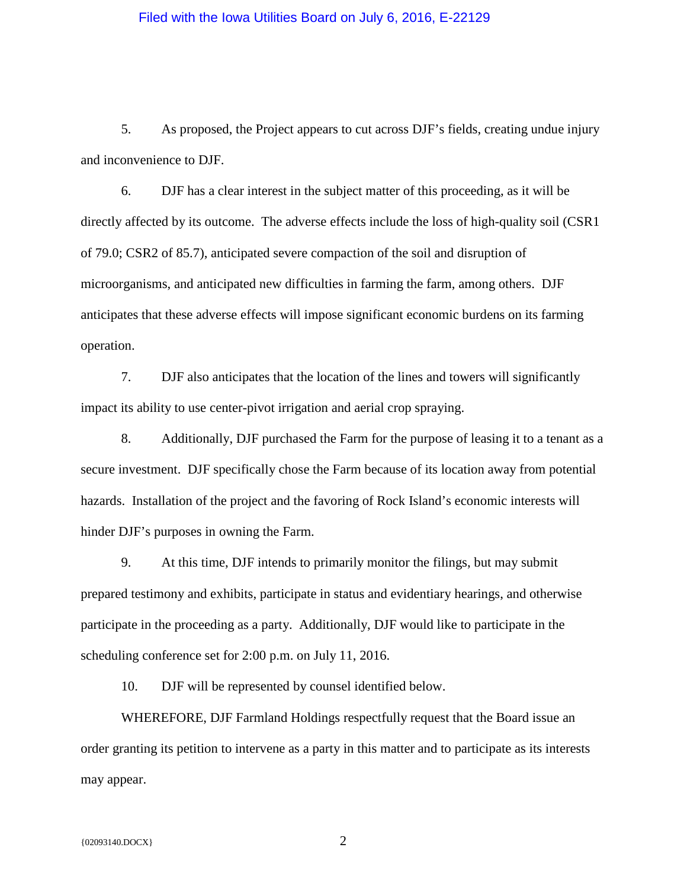## Filed with the Iowa Utilities Board on July 6, 2016, E-22129

5. As proposed, the Project appears to cut across DJF's fields, creating undue injury and inconvenience to DJF.

6. DJF has a clear interest in the subject matter of this proceeding, as it will be directly affected by its outcome. The adverse effects include the loss of high-quality soil (CSR1 of 79.0; CSR2 of 85.7), anticipated severe compaction of the soil and disruption of microorganisms, and anticipated new difficulties in farming the farm, among others. DJF anticipates that these adverse effects will impose significant economic burdens on its farming operation.

7. DJF also anticipates that the location of the lines and towers will significantly impact its ability to use center-pivot irrigation and aerial crop spraying.

8. Additionally, DJF purchased the Farm for the purpose of leasing it to a tenant as a secure investment. DJF specifically chose the Farm because of its location away from potential hazards. Installation of the project and the favoring of Rock Island's economic interests will hinder DJF's purposes in owning the Farm.

9. At this time, DJF intends to primarily monitor the filings, but may submit prepared testimony and exhibits, participate in status and evidentiary hearings, and otherwise participate in the proceeding as a party. Additionally, DJF would like to participate in the scheduling conference set for 2:00 p.m. on July 11, 2016.

10. DJF will be represented by counsel identified below.

WHEREFORE, DJF Farmland Holdings respectfully request that the Board issue an order granting its petition to intervene as a party in this matter and to participate as its interests may appear.